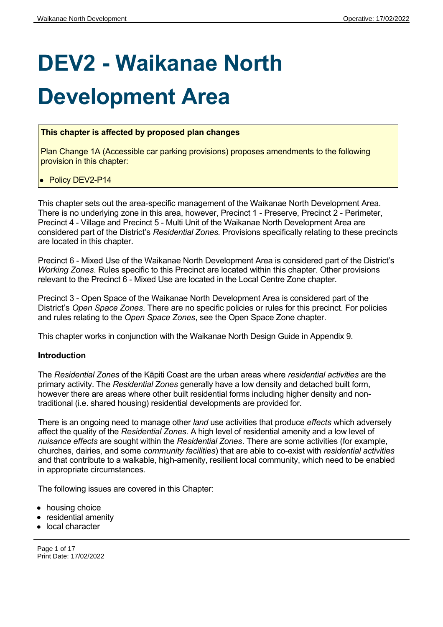# **DEV2 - Waikanae North**

## **Development Area**

#### **This chapter is affected by proposed plan changes**

Plan Change 1A (Accessible car parking provisions) proposes amendments to the following provision in this chapter:

#### • Policy DEV2-P14

This chapter sets out the area-specific management of the Waikanae North Development Area. There is no underlying zone in this area, however, Precinct 1 - Preserve, Precinct 2 - Perimeter, Precinct 4 - Village and Precinct 5 - Multi Unit of the Waikanae North Development Area are considered part of the District's *Residential Zones.* Provisions specifically relating to these precincts are located in this chapter.

Precinct 6 - Mixed Use of the Waikanae North Development Area is considered part of the District's *Working Zones*. Rules specific to this Precinct are located within this chapter. Other provisions relevant to the Precinct 6 - Mixed Use are located in the Local Centre Zone chapter.

Precinct 3 - Open Space of the Waikanae North Development Area is considered part of the District's *Open Space Zones*. There are no specific policies or rules for this precinct. For policies and rules relating to the *Open Space Zones*, see the Open Space Zone chapter.

This chapter works in conjunction with the Waikanae North Design Guide in Appendix 9.

#### **Introduction**

The *Residential Zones* of the Kāpiti Coast are the urban areas where *residential activities* are the primary activity. The *Residential Zones* generally have a low density and detached built form, however there are areas where other built residential forms including higher density and nontraditional (i.e. shared housing) residential developments are provided for.

There is an ongoing need to manage other *land* use activities that produce *effects* which adversely affect the quality of the *Residential Zones*. A high level of residential amenity and a low level of *nuisance effects* are sought within the *Residential Zones*. There are some activities (for example, churches, dairies, and some *community facilities*) that are able to co-exist with *residential activities* and that contribute to a walkable, high-amenity, resilient local community, which need to be enabled in appropriate circumstances.

The following issues are covered in this Chapter:

- housing choice
- residential amenity
- local character

Page 1 of 17 Print Date: 17/02/2022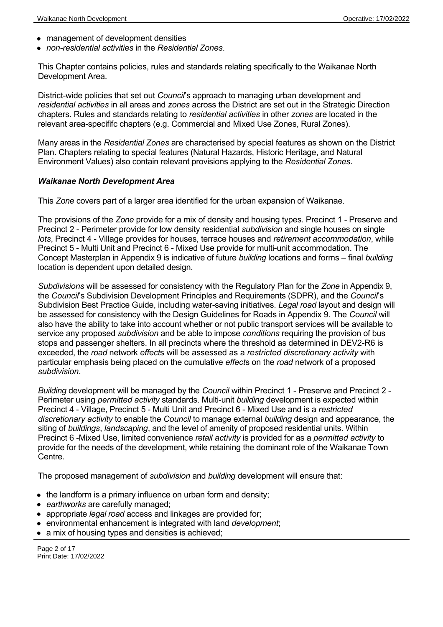- management of development densities
- *non-residential activities* in the *Residential Zones*.

This Chapter contains policies, rules and standards relating specifically to the Waikanae North Development Area.

District-wide policies that set out *Council*'s approach to managing urban development and *residential activities* in all areas and *zones* across the District are set out in the Strategic Direction chapters. Rules and standards relating to *residential activities* in other *zones* are located in the relevant area-specififc chapters (e.g. Commercial and Mixed Use Zones, Rural Zones).

Many areas in the *Residential Zones* are characterised by special features as shown on the District Plan. Chapters relating to special features (Natural Hazards, Historic Heritage, and Natural Environment Values) also contain relevant provisions applying to the *Residential Zones*.

#### *Waikanae North Development Area*

This *Zone* covers part of a larger area identified for the urban expansion of Waikanae.

The provisions of the *Zone* provide for a mix of density and housing types. Precinct 1 - Preserve and Precinct 2 - Perimeter provide for low density residential *subdivision* and single houses on single *lots*, Precinct 4 - Village provides for houses, terrace houses and *retirement accommodation*, while Precinct 5 - Multi Unit and Precinct 6 - Mixed Use provide for multi-unit accommodation. The Concept Masterplan in Appendix 9 is indicative of future *building* locations and forms – final *building* location is dependent upon detailed design.

*Subdivisions* will be assessed for consistency with the Regulatory Plan for the *Zone* in Appendix 9, the *Council*'s Subdivision Development Principles and Requirements (SDPR), and the *Council*'s Subdivision Best Practice Guide, including water-saving initiatives. *Legal road* layout and design will be assessed for consistency with the Design Guidelines for Roads in Appendix 9. The *Council* will also have the ability to take into account whether or not public transport services will be available to service any proposed *subdivision* and be able to impose *conditions* requiring the provision of bus stops and passenger shelters. In all precincts where the threshold as determined in DEV2-R6 is exceeded, the *road* network *effect*s will be assessed as a *restricted discretionary activity* with particular emphasis being placed on the cumulative *effect*s on the *road* network of a proposed *subdivision*.

*Building* development will be managed by the *Council* within Precinct 1 - Preserve and Precinct 2 - Perimeter using *permitted activity* standards. Multi-unit *building* development is expected within Precinct 4 - Village, Precinct 5 - Multi Unit and Precinct 6 - Mixed Use and is a *restricted discretionary activity* to enable the *Council* to manage external *building* design and appearance, the siting of *buildings*, *landscaping*, and the level of amenity of proposed residential units. Within Precinct 6 -Mixed Use, limited convenience *retail activity* is provided for as a *permitted activity* to provide for the needs of the development, while retaining the dominant role of the Waikanae Town Centre.

The proposed management of *subdivision* and *building* development will ensure that:

- the landform is a primary influence on urban form and density;
- *earthworks* are carefully managed;
- appropriate *legal road* access and linkages are provided for;
- environmental enhancement is integrated with land *development*;
- a mix of housing types and densities is achieved;

Page 2 of 17 Print Date: 17/02/2022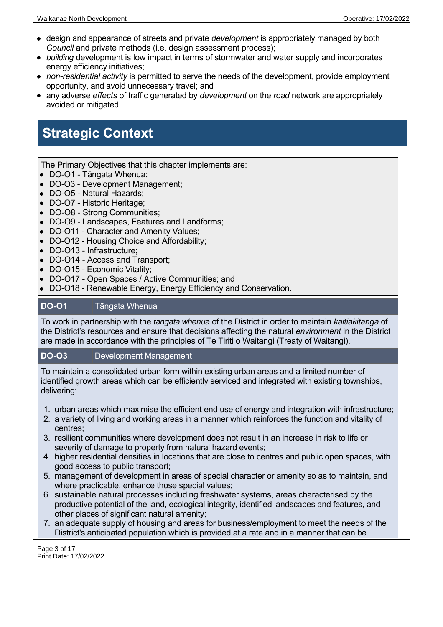- design and appearance of streets and private *development* is appropriately managed by both *Council* and private methods (i.e. design assessment process);
- *building* development is low impact in terms of stormwater and water supply and incorporates energy efficiency initiatives;
- *non-residential activity* is permitted to serve the needs of the development, provide employment opportunity, and avoid unnecessary travel; and
- any adverse *effects* of traffic generated by *development* on the *road* network are appropriately avoided or mitigated.

## **Strategic Context**

The Primary Objectives that this chapter implements are:

- DO-O1 Tāngata Whenua;
- DO-O3 Development Management;
- DO-O5 Natural Hazards;
- DO-O7 Historic Heritage;
- DO-O8 Strong Communities;
- DO-O9 Landscapes, Features and Landforms;
- DO-O11 Character and Amenity Values;
- DO-O12 Housing Choice and Affordability;
- DO-O13 Infrastructure:
- DO-O14 Access and Transport;
- DO-O15 Economic Vitality;
- DO-O17 Open Spaces / Active Communities; and
- DO-O18 Renewable Energy, Energy Efficiency and Conservation.

#### **DO-O1** Tāngata Whenua

To work in partnership with the *tangata whenua* of the District in order to maintain *kaitiakitanga* of the District's resources and ensure that decisions affecting the natural *environment* in the District are made in accordance with the principles of Te Tiriti o Waitangi (Treaty of Waitangi).

#### **DO-O3** Development Management

To maintain a consolidated urban form within existing urban areas and a limited number of identified growth areas which can be efficiently serviced and integrated with existing townships, delivering:

- 1. urban areas which maximise the efficient end use of energy and integration with infrastructure;
- 2. a variety of living and working areas in a manner which reinforces the function and vitality of centres;
- 3. resilient communities where development does not result in an increase in risk to life or severity of damage to property from natural hazard events;
- 4. higher residential densities in locations that are close to centres and public open spaces, with good access to public transport;
- 5. management of development in areas of special character or amenity so as to maintain, and where practicable, enhance those special values;
- 6. sustainable natural processes including freshwater systems, areas characterised by the productive potential of the land, ecological integrity, identified landscapes and features, and other places of significant natural amenity;
- 7. an adequate supply of housing and areas for business/employment to meet the needs of the District's anticipated population which is provided at a rate and in a manner that can be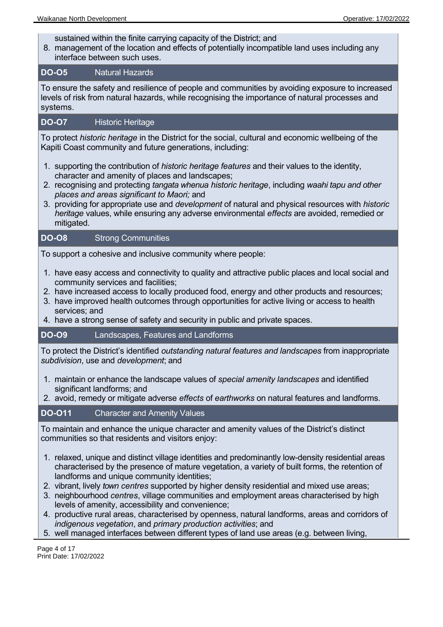sustained within the finite carrying capacity of the District; and

8. management of the location and effects of potentially incompatible land uses including any interface between such uses.

#### **DO-O5** Natural Hazards

To ensure the safety and resilience of people and communities by avoiding exposure to increased levels of risk from natural hazards, while recognising the importance of natural processes and systems.

#### **DO-O7** Historic Heritage

To protect *historic heritage* in the District for the social, cultural and economic wellbeing of the Kapiti Coast community and future generations, including:

- 1. supporting the contribution of *historic heritage features* and their values to the identity, character and amenity of places and landscapes;
- 2. recognising and protecting *tangata whenua historic heritage*, including *waahi tapu and other places and areas significant to Maori;* and
- 3. providing for appropriate use and *development* of natural and physical resources with *historic heritage* values, while ensuring any adverse environmental *effects* are avoided, remedied or mitigated.

#### **DO-O8** Strong Communities

To support a cohesive and inclusive community where people:

- 1. have easy access and connectivity to quality and attractive public places and local social and community services and facilities;
- 2. have increased access to locally produced food, energy and other products and resources;
- 3. have improved health outcomes through opportunities for active living or access to health services; and
- 4. have a strong sense of safety and security in public and private spaces.

**DO-O9** Landscapes, Features and Landforms

To protect the District's identified *outstanding natural features and landscapes* from inappropriate *subdivision*, use and *development*; and

- 1. maintain or enhance the landscape values of *special amenity landscapes* and identified significant landforms; and
- 2. avoid, remedy or mitigate adverse *effects* of *earthworks* on natural features and landforms.

#### **DO-O11** Character and Amenity Values

To maintain and enhance the unique character and amenity values of the District's distinct communities so that residents and visitors enjoy:

- 1. relaxed, unique and distinct village identities and predominantly low-density residential areas characterised by the presence of mature vegetation, a variety of built forms, the retention of landforms and unique community identities;
- 2. vibrant, lively *town centres* supported by higher density residential and mixed use areas;
- 3. neighbourhood *centres*, village communities and employment areas characterised by high levels of amenity, accessibility and convenience;
- 4. productive rural areas, characterised by openness, natural landforms, areas and corridors of *indigenous vegetation*, and *primary production activities*; and
- 5. well managed interfaces between different types of land use areas (e.g. between living,

Page 4 of 17 Print Date: 17/02/2022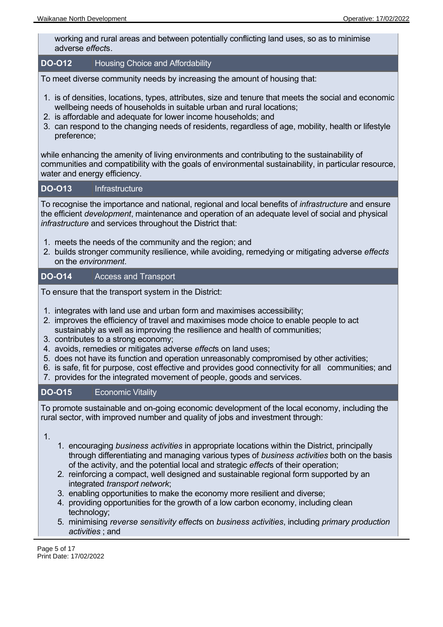working and rural areas and between potentially conflicting land uses, so as to minimise adverse *effect*s.

#### **DO-O12** Housing Choice and Affordability

To meet diverse community needs by increasing the amount of housing that:

- 1. is of densities, locations, types, attributes, size and tenure that meets the social and economic wellbeing needs of households in suitable urban and rural locations;
- 2. is affordable and adequate for lower income households; and
- 3. can respond to the changing needs of residents, regardless of age, mobility, health or lifestyle preference;

while enhancing the amenity of living environments and contributing to the sustainability of communities and compatibility with the goals of environmental sustainability, in particular resource, water and energy efficiency.

#### **DO-O13** Infrastructure

To recognise the importance and national, regional and local benefits of *infrastructure* and ensure the efficient *development*, maintenance and operation of an adequate level of social and physical *infrastructure* and services throughout the District that:

- 1. meets the needs of the community and the region; and
- 2. builds stronger community resilience, while avoiding, remedying or mitigating adverse *effects* on the *environment*.

#### **DO-O14** Access and Transport

To ensure that the transport system in the District:

- 1. integrates with land use and urban form and maximises accessibility;
- 2. improves the efficiency of travel and maximises mode choice to enable people to act sustainably as well as improving the resilience and health of communities;
- 3. contributes to a strong economy;
- 4. avoids, remedies or mitigates adverse *effect*s on land uses;
- 5. does not have its function and operation unreasonably compromised by other activities;
- 6. is safe, fit for purpose, cost effective and provides good connectivity for all communities; and
- 7. provides for the integrated movement of people, goods and services.

#### **DO-O15** Economic Vitality

To promote sustainable and on-going economic development of the local economy, including the rural sector, with improved number and quality of jobs and investment through:

1.

- 1. encouraging *business activities* in appropriate locations within the District, principally through differentiating and managing various types of *business activities* both on the basis of the activity, and the potential local and strategic *effect*s of their operation;
- 2. reinforcing a compact, well designed and sustainable regional form supported by an integrated *transport network*;
- 3. enabling opportunities to make the economy more resilient and diverse;
- 4. providing opportunities for the growth of a low carbon economy, including clean technology;
- 5. minimising *reverse sensitivity effect*s on *business activities*, including *primary production activities* ; and

Page 5 of 17 Print Date: 17/02/2022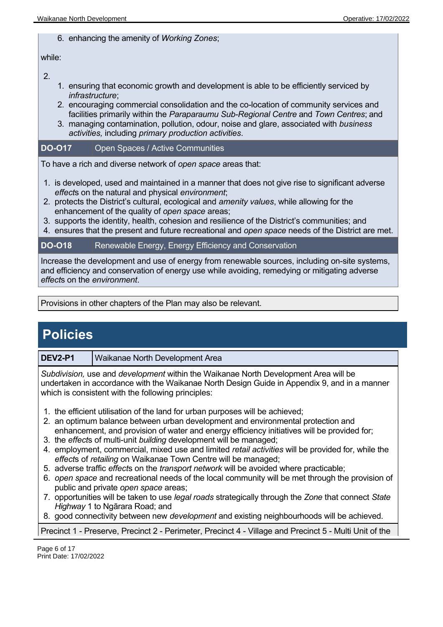#### 6. enhancing the amenity of *Working Zones*;

#### while:

2.

- 1. ensuring that economic growth and development is able to be efficiently serviced by *infrastructure*;
- 2. encouraging commercial consolidation and the co-location of community services and facilities primarily within the *Paraparaumu Sub-Regional Centre* and *Town Centres*; and
- 3. managing contamination, pollution, odour, noise and glare, associated with *business activities,* including *primary production activities*.

#### **DO-O17** Open Spaces / Active Communities

To have a rich and diverse network of *open space* areas that:

- 1. is developed, used and maintained in a manner that does not give rise to significant adverse *effect*s on the natural and physical *environment*;
- 2. protects the District's cultural, ecological and *amenity values*, while allowing for the enhancement of the quality of *open space* areas;
- 3. supports the identity, health, cohesion and resilience of the District's communities; and
- 4. ensures that the present and future recreational and *open space* needs of the District are met.

#### **DO-O18** Renewable Energy, Energy Efficiency and Conservation

Increase the development and use of energy from renewable sources, including on-site systems, and efficiency and conservation of energy use while avoiding, remedying or mitigating adverse *effect*s on the *environment*.

Provisions in other chapters of the Plan may also be relevant.

### **Policies**

#### **DEV2-P1** Waikanae North Development Area

*Subdivision,* use and *development* within the Waikanae North Development Area will be undertaken in accordance with the Waikanae North Design Guide in Appendix 9, and in a manner which is consistent with the following principles:

- 1. the efficient utilisation of the land for urban purposes will be achieved;
- 2. an optimum balance between urban development and environmental protection and enhancement, and provision of water and energy efficiency initiatives will be provided for;
- 3. the *effect*s of multi-unit *building* development will be managed;
- 4. employment, commercial, mixed use and limited *retail activities* will be provided for, while the *effect*s of *retailing* on Waikanae Town Centre will be managed;
- 5. adverse traffic *effect*s on the *transport network* will be avoided where practicable;
- 6. *open space* and recreational needs of the local community will be met through the provision of public and private *open space* areas;
- 7. opportunities will be taken to use *legal roads* strategically through the *Zone* that connect *State Highway* 1 to Ngārara Road; and
- 8. good connectivity between new *development* and existing neighbourhoods will be achieved.

Precinct 1 - Preserve, Precinct 2 - Perimeter, Precinct 4 - Village and Precinct 5 - Multi Unit of the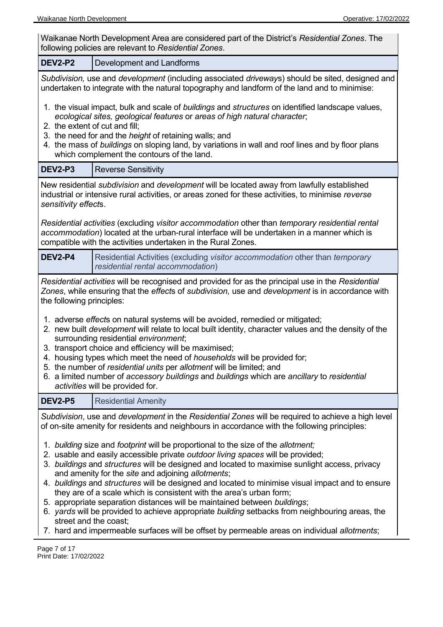| Waikanae North Development Area are considered part of the District's Residential Zones. The<br>following policies are relevant to Residential Zones.                                                                                                                                                                                                                                                                                                                                                                                                                                                                                                                                                                                                                                                           |                                                                                                                                                                                                                                                                 |  |
|-----------------------------------------------------------------------------------------------------------------------------------------------------------------------------------------------------------------------------------------------------------------------------------------------------------------------------------------------------------------------------------------------------------------------------------------------------------------------------------------------------------------------------------------------------------------------------------------------------------------------------------------------------------------------------------------------------------------------------------------------------------------------------------------------------------------|-----------------------------------------------------------------------------------------------------------------------------------------------------------------------------------------------------------------------------------------------------------------|--|
| <b>DEV2-P2</b><br>Development and Landforms                                                                                                                                                                                                                                                                                                                                                                                                                                                                                                                                                                                                                                                                                                                                                                     |                                                                                                                                                                                                                                                                 |  |
| Subdivision, use and development (including associated driveways) should be sited, designed and<br>undertaken to integrate with the natural topography and landform of the land and to minimise:                                                                                                                                                                                                                                                                                                                                                                                                                                                                                                                                                                                                                |                                                                                                                                                                                                                                                                 |  |
| 1. the visual impact, bulk and scale of buildings and structures on identified landscape values,<br>ecological sites, geological features or areas of high natural character;<br>2. the extent of cut and fill;<br>3. the need for and the height of retaining walls; and<br>4. the mass of buildings on sloping land, by variations in wall and roof lines and by floor plans<br>which complement the contours of the land.                                                                                                                                                                                                                                                                                                                                                                                    |                                                                                                                                                                                                                                                                 |  |
| <b>DEV2-P3</b>                                                                                                                                                                                                                                                                                                                                                                                                                                                                                                                                                                                                                                                                                                                                                                                                  | <b>Reverse Sensitivity</b>                                                                                                                                                                                                                                      |  |
| sensitivity effects.                                                                                                                                                                                                                                                                                                                                                                                                                                                                                                                                                                                                                                                                                                                                                                                            | New residential subdivision and development will be located away from lawfully established<br>industrial or intensive rural activities, or areas zoned for these activities, to minimise reverse                                                                |  |
|                                                                                                                                                                                                                                                                                                                                                                                                                                                                                                                                                                                                                                                                                                                                                                                                                 | Residential activities (excluding visitor accommodation other than temporary residential rental<br>accommodation) located at the urban-rural interface will be undertaken in a manner which is<br>compatible with the activities undertaken in the Rural Zones. |  |
| <b>DEV2-P4</b>                                                                                                                                                                                                                                                                                                                                                                                                                                                                                                                                                                                                                                                                                                                                                                                                  | Residential Activities (excluding visitor accommodation other than temporary<br>residential rental accommodation)                                                                                                                                               |  |
| Residential activities will be recognised and provided for as the principal use in the Residential<br>Zones, while ensuring that the effects of subdivision, use and development is in accordance with<br>the following principles:                                                                                                                                                                                                                                                                                                                                                                                                                                                                                                                                                                             |                                                                                                                                                                                                                                                                 |  |
| 1. adverse effects on natural systems will be avoided, remedied or mitigated;<br>2. new built development will relate to local built identity, character values and the density of the<br>surrounding residential environment;<br>3. transport choice and efficiency will be maximised;<br>4. housing types which meet the need of households will be provided for;<br>5. the number of residential units per allotment will be limited; and<br>6. a limited number of accessory buildings and buildings which are ancillary to residential<br>activities will be provided for.                                                                                                                                                                                                                                 |                                                                                                                                                                                                                                                                 |  |
| <b>DEV2-P5</b>                                                                                                                                                                                                                                                                                                                                                                                                                                                                                                                                                                                                                                                                                                                                                                                                  | <b>Residential Amenity</b>                                                                                                                                                                                                                                      |  |
| Subdivision, use and <i>development</i> in the Residential Zones will be required to achieve a high level<br>of on-site amenity for residents and neighbours in accordance with the following principles:                                                                                                                                                                                                                                                                                                                                                                                                                                                                                                                                                                                                       |                                                                                                                                                                                                                                                                 |  |
| 1. building size and footprint will be proportional to the size of the allotment;<br>2. usable and easily accessible private outdoor living spaces will be provided;<br>3. buildings and structures will be designed and located to maximise sunlight access, privacy<br>and amenity for the site and adjoining allotments;<br>4. buildings and structures will be designed and located to minimise visual impact and to ensure<br>they are of a scale which is consistent with the area's urban form;<br>5. appropriate separation distances will be maintained between buildings;<br>6. yards will be provided to achieve appropriate building setbacks from neighbouring areas, the<br>street and the coast;<br>7. hard and impermeable surfaces will be offset by permeable areas on individual allotments; |                                                                                                                                                                                                                                                                 |  |

Page 7 of 17 Print Date: 17/02/2022

 $\overline{a}$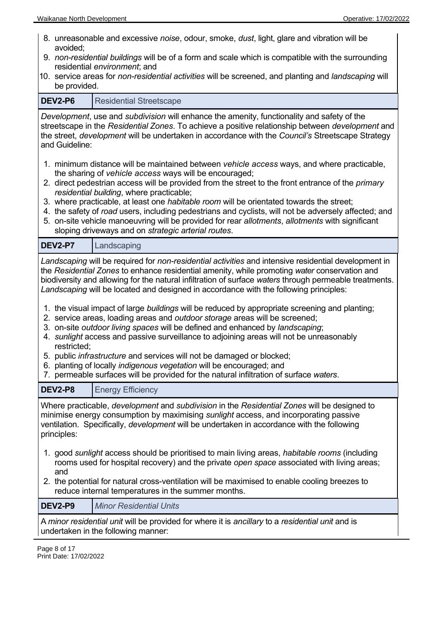- 8. unreasonable and excessive *noise*, odour, smoke, *dust*, light, glare and vibration will be avoided;
- 9. *non-residential buildings* will be of a form and scale which is compatible with the surrounding residential *environment*; and
- 10. service areas for *non-residential activities* will be screened, and planting and *landscaping* will be provided.

| <b>DEV2-P6</b>                                                                                                                                                                                                                                                                                                                                                                                                                                                                                                                                                                                                                                                                                                                                                                                                                                                                                                                                                                                                                 | <b>Residential Streetscape</b>                                                                                                                      |  |
|--------------------------------------------------------------------------------------------------------------------------------------------------------------------------------------------------------------------------------------------------------------------------------------------------------------------------------------------------------------------------------------------------------------------------------------------------------------------------------------------------------------------------------------------------------------------------------------------------------------------------------------------------------------------------------------------------------------------------------------------------------------------------------------------------------------------------------------------------------------------------------------------------------------------------------------------------------------------------------------------------------------------------------|-----------------------------------------------------------------------------------------------------------------------------------------------------|--|
| Development, use and subdivision will enhance the amenity, functionality and safety of the<br>streetscape in the Residential Zones. To achieve a positive relationship between development and<br>the street, development will be undertaken in accordance with the Council's Streetscape Strategy<br>and Guideline:                                                                                                                                                                                                                                                                                                                                                                                                                                                                                                                                                                                                                                                                                                           |                                                                                                                                                     |  |
| 1. minimum distance will be maintained between vehicle access ways, and where practicable,<br>the sharing of vehicle access ways will be encouraged;<br>2. direct pedestrian access will be provided from the street to the front entrance of the primary<br>residential building, where practicable;<br>3. where practicable, at least one habitable room will be orientated towards the street;<br>4. the safety of road users, including pedestrians and cyclists, will not be adversely affected; and<br>5. on-site vehicle manoeuvring will be provided for rear allotments, allotments with significant<br>sloping driveways and on strategic arterial routes.                                                                                                                                                                                                                                                                                                                                                           |                                                                                                                                                     |  |
| <b>DEV2-P7</b>                                                                                                                                                                                                                                                                                                                                                                                                                                                                                                                                                                                                                                                                                                                                                                                                                                                                                                                                                                                                                 | Landscaping                                                                                                                                         |  |
| Landscaping will be required for non-residential activities and intensive residential development in<br>the Residential Zones to enhance residential amenity, while promoting water conservation and<br>biodiversity and allowing for the natural infiltration of surface waters through permeable treatments.<br>Landscaping will be located and designed in accordance with the following principles:<br>1. the visual impact of large buildings will be reduced by appropriate screening and planting;<br>2. service areas, loading areas and outdoor storage areas will be screened;<br>3. on-site outdoor living spaces will be defined and enhanced by landscaping;<br>4. sunlight access and passive surveillance to adjoining areas will not be unreasonably<br>restricted;<br>5. public infrastructure and services will not be damaged or blocked;<br>6. planting of locally indigenous vegetation will be encouraged; and<br>7. permeable surfaces will be provided for the natural infiltration of surface waters. |                                                                                                                                                     |  |
| <b>DEV2-P8</b>                                                                                                                                                                                                                                                                                                                                                                                                                                                                                                                                                                                                                                                                                                                                                                                                                                                                                                                                                                                                                 | <b>Energy Efficiency</b>                                                                                                                            |  |
| Where practicable, development and subdivision in the Residential Zones will be designed to<br>minimise energy consumption by maximising sunlight access, and incorporating passive<br>ventilation. Specifically, <i>development</i> will be undertaken in accordance with the following<br>principles:<br>1. good sunlight access should be prioritised to main living areas, habitable rooms (including<br>rooms used for hospital recovery) and the private open space associated with living areas;                                                                                                                                                                                                                                                                                                                                                                                                                                                                                                                        |                                                                                                                                                     |  |
| and                                                                                                                                                                                                                                                                                                                                                                                                                                                                                                                                                                                                                                                                                                                                                                                                                                                                                                                                                                                                                            | 2. the potential for natural cross-ventilation will be maximised to enable cooling breezes to<br>reduce internal temperatures in the summer months. |  |
| <b>DEV2-P9</b>                                                                                                                                                                                                                                                                                                                                                                                                                                                                                                                                                                                                                                                                                                                                                                                                                                                                                                                                                                                                                 | <b>Minor Residential Units</b>                                                                                                                      |  |
|                                                                                                                                                                                                                                                                                                                                                                                                                                                                                                                                                                                                                                                                                                                                                                                                                                                                                                                                                                                                                                | A minor residential unit will be provided for where it is ancillary to a residential unit and is<br>undertaken in the following manner:             |  |
| Page 8 of 17                                                                                                                                                                                                                                                                                                                                                                                                                                                                                                                                                                                                                                                                                                                                                                                                                                                                                                                                                                                                                   |                                                                                                                                                     |  |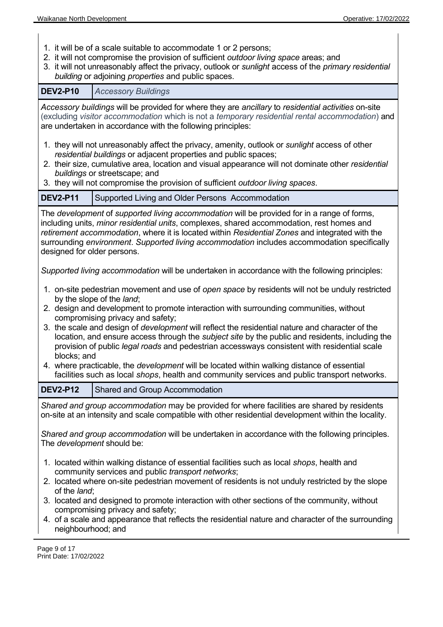- 1. it will be of a scale suitable to accommodate 1 or 2 persons;
- 2. it will not compromise the provision of sufficient *outdoor living space* areas; and
- 3. it will not unreasonably affect the privacy, outlook or *sunlight* access of the *primary residential building* or adjoining *properties* and public spaces.

**DEV2-P10** *Accessory Buildings Accessory buildings* will be provided for where they are *ancillary* to *residential activities* on-site (excluding *visitor accommodation* which is not a *temporary residential rental accommodation*) and are undertaken in accordance with the following principles: 1. they will not unreasonably affect the privacy, amenity, outlook or *sunlight* access of other *residential buildings* or adjacent properties and public spaces; 2. their size, cumulative area, location and visual appearance will not dominate other *residential buildings* or streetscape; and 3. they will not compromise the provision of sufficient *outdoor living spaces*. **DEV2-P11** Supported Living and Older Persons Accommodation The *development* of *supported living accommodation* will be provided for in a range of forms, including units, *minor residential units*, complexes, shared accommodation, rest homes and *retirement accommodation*, where it is located within *Residential Zones* and integrated with the surrounding *environment*. *Supported living accommodation* includes accommodation specifically designed for older persons. *Supported living accommodation* will be undertaken in accordance with the following principles: 1. on-site pedestrian movement and use of *open space* by residents will not be unduly restricted by the slope of the *land*; 2. design and development to promote interaction with surrounding communities, without compromising privacy and safety; 3. the scale and design of *development* will reflect the residential nature and character of the location, and ensure access through the *subject site* by the public and residents, including the provision of public *legal roads* and pedestrian accessways consistent with residential scale blocks; and 4. where practicable, the *development* will be located within walking distance of essential facilities such as local *shops*, health and community services and public transport networks. **DEV2-P12** Shared and Group Accommodation *Shared and group accommodation* may be provided for where facilities are shared by residents on-site at an intensity and scale compatible with other residential development within the locality. *Shared and group accommodation* will be undertaken in accordance with the following principles. The *development* should be: 1. located within walking distance of essential facilities such as local *shops*, health and community services and public *transport networks*; 2. located where on-site pedestrian movement of residents is not unduly restricted by the slope of the *land*; 3. located and designed to promote interaction with other sections of the community, without compromising privacy and safety; 4. of a scale and appearance that reflects the residential nature and character of the surrounding neighbourhood; and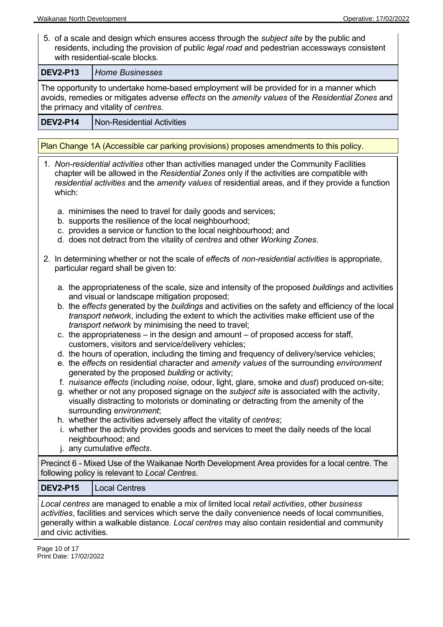5. of a scale and design which ensures access through the *subject site* by the public and residents, including the provision of public *legal road* and pedestrian accessways consistent with residential-scale blocks.

**DEV2-P13** *Home Businesses*

The opportunity to undertake home-based employment will be provided for in a manner which avoids, remedies or mitigates adverse *effects* on the *amenity values* of the *Residential Zones* and the primacy and vitality of *centres*.

**DEV2-P14** | Non-Residential Activities

Plan Change 1A (Accessible car parking provisions) proposes amendments to this policy.

| 1. Non-residential activities other than activities managed under the Community Facilities<br>chapter will be allowed in the Residential Zones only if the activities are compatible with<br>residential activities and the amenity values of residential areas, and if they provide a function<br>which:                                                                                                                                                                                                                                                                                                                                                                                                                                                                                                                                                                                                                                                                                                                                                                                                                                                                                                                                                                                                                                              |  |  |
|--------------------------------------------------------------------------------------------------------------------------------------------------------------------------------------------------------------------------------------------------------------------------------------------------------------------------------------------------------------------------------------------------------------------------------------------------------------------------------------------------------------------------------------------------------------------------------------------------------------------------------------------------------------------------------------------------------------------------------------------------------------------------------------------------------------------------------------------------------------------------------------------------------------------------------------------------------------------------------------------------------------------------------------------------------------------------------------------------------------------------------------------------------------------------------------------------------------------------------------------------------------------------------------------------------------------------------------------------------|--|--|
| a. minimises the need to travel for daily goods and services;<br>b. supports the resilience of the local neighbourhood;<br>c. provides a service or function to the local neighbourhood; and<br>d. does not detract from the vitality of centres and other Working Zones.                                                                                                                                                                                                                                                                                                                                                                                                                                                                                                                                                                                                                                                                                                                                                                                                                                                                                                                                                                                                                                                                              |  |  |
| 2. In determining whether or not the scale of effects of non-residential activities is appropriate,<br>particular regard shall be given to:                                                                                                                                                                                                                                                                                                                                                                                                                                                                                                                                                                                                                                                                                                                                                                                                                                                                                                                                                                                                                                                                                                                                                                                                            |  |  |
| a. the appropriateness of the scale, size and intensity of the proposed buildings and activities<br>and visual or landscape mitigation proposed;<br>b. the effects generated by the buildings and activities on the safety and efficiency of the local<br>transport network, including the extent to which the activities make efficient use of the<br>transport network by minimising the need to travel;<br>c. the appropriateness – in the design and amount – of proposed access for staff,<br>customers, visitors and service/delivery vehicles;<br>d. the hours of operation, including the timing and frequency of delivery/service vehicles;<br>e. the effects on residential character and amenity values of the surrounding environment<br>generated by the proposed building or activity;<br>f. nuisance effects (including noise, odour, light, glare, smoke and dust) produced on-site;<br>g. whether or not any proposed signage on the <i>subject site</i> is associated with the activity,<br>visually distracting to motorists or dominating or detracting from the amenity of the<br>surrounding environment;<br>h. whether the activities adversely affect the vitality of centres;<br>i. whether the activity provides goods and services to meet the daily needs of the local<br>neighbourhood; and<br>j. any cumulative effects. |  |  |
| Precinct 6 - Mixed Use of the Waikanae North Development Area provides for a local centre. The<br>following policy is relevant to Local Centres.                                                                                                                                                                                                                                                                                                                                                                                                                                                                                                                                                                                                                                                                                                                                                                                                                                                                                                                                                                                                                                                                                                                                                                                                       |  |  |
| <b>DEV2-P15</b><br><b>Local Centres</b>                                                                                                                                                                                                                                                                                                                                                                                                                                                                                                                                                                                                                                                                                                                                                                                                                                                                                                                                                                                                                                                                                                                                                                                                                                                                                                                |  |  |
| Local centres are managed to enable a mix of limited local retail activities, other business<br>activities, facilities and services which serve the daily convenience needs of local communities,<br>generally within a walkable distance. Local centres may also contain residential and community                                                                                                                                                                                                                                                                                                                                                                                                                                                                                                                                                                                                                                                                                                                                                                                                                                                                                                                                                                                                                                                    |  |  |

and civic activities.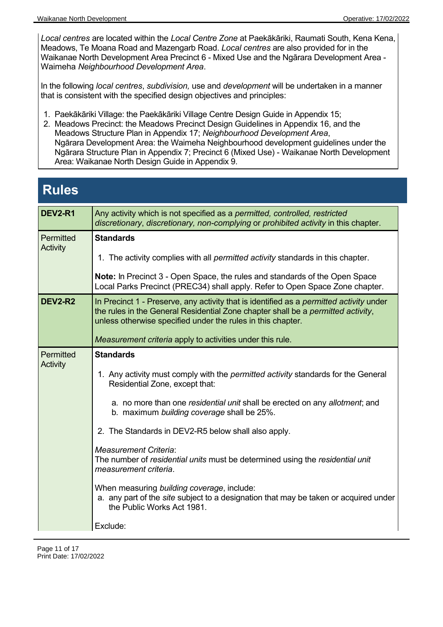*Local centres* are located within the *Local Centre Zone* at Paekākāriki, Raumati South, Kena Kena, Meadows, Te Moana Road and Mazengarb Road. *Local centres* are also provided for in the Waikanae North Development Area Precinct 6 - Mixed Use and the Ngārara Development Area - Waimeha *Neighbourhood Development Area*.

In the following *local centres*, *subdivision,* use and *development* will be undertaken in a manner that is consistent with the specified design objectives and principles:

- 1. Paekākāriki Village: the Paekākāriki Village Centre Design Guide in Appendix 15;
- 2. Meadows Precinct: the Meadows Precinct Design Guidelines in Appendix 16, and the Meadows Structure Plan in Appendix 17; *Neighbourhood Development Area*, Ngārara Development Area: the Waimeha Neighbourhood development guidelines under the Ngārara Structure Plan in Appendix 7; Precinct 6 (Mixed Use) - Waikanae North Development Area: Waikanae North Design Guide in Appendix 9.

## **Rules**

| <b>DEV2-R1</b>               | Any activity which is not specified as a permitted, controlled, restricted<br>discretionary, discretionary, non-complying or prohibited activity in this chapter.                                                                          |
|------------------------------|--------------------------------------------------------------------------------------------------------------------------------------------------------------------------------------------------------------------------------------------|
| Permitted                    | <b>Standards</b>                                                                                                                                                                                                                           |
| <b>Activity</b>              | 1. The activity complies with all <i>permitted activity</i> standards in this chapter.                                                                                                                                                     |
|                              | Note: In Precinct 3 - Open Space, the rules and standards of the Open Space<br>Local Parks Precinct (PREC34) shall apply. Refer to Open Space Zone chapter.                                                                                |
| <b>DEV2-R2</b>               | In Precinct 1 - Preserve, any activity that is identified as a permitted activity under<br>the rules in the General Residential Zone chapter shall be a permitted activity,<br>unless otherwise specified under the rules in this chapter. |
|                              | Measurement criteria apply to activities under this rule.                                                                                                                                                                                  |
| Permitted<br><b>Activity</b> | <b>Standards</b>                                                                                                                                                                                                                           |
|                              | 1. Any activity must comply with the <i>permitted activity</i> standards for the General<br>Residential Zone, except that:                                                                                                                 |
|                              | a. no more than one residential unit shall be erected on any allotment; and<br>b. maximum building coverage shall be 25%.                                                                                                                  |
|                              | 2. The Standards in DEV2-R5 below shall also apply.                                                                                                                                                                                        |
|                              | <b>Measurement Criteria:</b><br>The number of residential units must be determined using the residential unit<br>measurement criteria.                                                                                                     |
|                              | When measuring building coverage, include:<br>a. any part of the <i>site</i> subject to a designation that may be taken or acquired under<br>the Public Works Act 1981.                                                                    |
|                              | Exclude:                                                                                                                                                                                                                                   |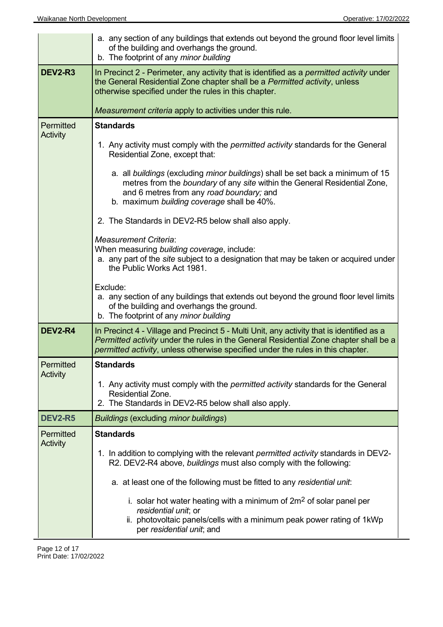|                 | a. any section of any buildings that extends out beyond the ground floor level limits<br>of the building and overhangs the ground.<br>b. The footprint of any minor building                                                                                          |  |
|-----------------|-----------------------------------------------------------------------------------------------------------------------------------------------------------------------------------------------------------------------------------------------------------------------|--|
| <b>DEV2-R3</b>  | In Precinct 2 - Perimeter, any activity that is identified as a <i>permitted activity</i> under<br>the General Residential Zone chapter shall be a Permitted activity, unless<br>otherwise specified under the rules in this chapter.                                 |  |
|                 | Measurement criteria apply to activities under this rule.                                                                                                                                                                                                             |  |
| Permitted       | <b>Standards</b>                                                                                                                                                                                                                                                      |  |
| <b>Activity</b> | 1. Any activity must comply with the <i>permitted activity</i> standards for the General<br>Residential Zone, except that:                                                                                                                                            |  |
|                 | a. all buildings (excluding minor buildings) shall be set back a minimum of 15<br>metres from the boundary of any site within the General Residential Zone,<br>and 6 metres from any road boundary; and<br>b. maximum building coverage shall be 40%.                 |  |
|                 | 2. The Standards in DEV2-R5 below shall also apply.                                                                                                                                                                                                                   |  |
|                 | <b>Measurement Criteria:</b><br>When measuring building coverage, include:<br>a. any part of the site subject to a designation that may be taken or acquired under<br>the Public Works Act 1981.                                                                      |  |
|                 | Exclude:<br>a. any section of any buildings that extends out beyond the ground floor level limits<br>of the building and overhangs the ground.<br>b. The footprint of any minor building                                                                              |  |
| <b>DEV2-R4</b>  | In Precinct 4 - Village and Precinct 5 - Multi Unit, any activity that is identified as a<br>Permitted activity under the rules in the General Residential Zone chapter shall be a<br>permitted activity, unless otherwise specified under the rules in this chapter. |  |
| Permitted       | <b>Standards</b>                                                                                                                                                                                                                                                      |  |
| <b>Activity</b> | 1. Any activity must comply with the <i>permitted activity</i> standards for the General<br>Residential Zone.<br>2. The Standards in DEV2-R5 below shall also apply.                                                                                                  |  |
| <b>DEV2-R5</b>  | <b>Buildings (excluding minor buildings)</b>                                                                                                                                                                                                                          |  |
| Permitted       | <b>Standards</b>                                                                                                                                                                                                                                                      |  |
| <b>Activity</b> | 1. In addition to complying with the relevant <i>permitted activity</i> standards in DEV2-<br>R2. DEV2-R4 above, buildings must also comply with the following:                                                                                                       |  |
|                 | a. at least one of the following must be fitted to any residential unit:                                                                                                                                                                                              |  |
|                 | i. solar hot water heating with a minimum of $2m2$ of solar panel per<br>residential unit; or<br>ii. photovoltaic panels/cells with a minimum peak power rating of 1kWp<br>per residential unit; and                                                                  |  |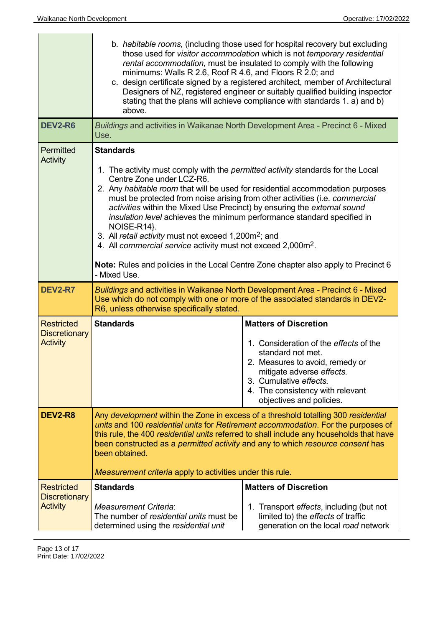| <b>DEV2-R6</b>                                               | b. habitable rooms, (including those used for hospital recovery but excluding<br>those used for visitor accommodation which is not temporary residential<br>rental accommodation, must be insulated to comply with the following<br>minimums: Walls R 2.6, Roof R 4.6, and Floors R 2.0; and<br>c. design certificate signed by a registered architect, member of Architectural<br>Designers of NZ, registered engineer or suitably qualified building inspector<br>stating that the plans will achieve compliance with standards 1. a) and b)<br>above.<br>Buildings and activities in Waikanae North Development Area - Precinct 6 - Mixed                                                     |                                                                                                                                                                                                                                                       |
|--------------------------------------------------------------|--------------------------------------------------------------------------------------------------------------------------------------------------------------------------------------------------------------------------------------------------------------------------------------------------------------------------------------------------------------------------------------------------------------------------------------------------------------------------------------------------------------------------------------------------------------------------------------------------------------------------------------------------------------------------------------------------|-------------------------------------------------------------------------------------------------------------------------------------------------------------------------------------------------------------------------------------------------------|
| Permitted                                                    | Use.<br><b>Standards</b>                                                                                                                                                                                                                                                                                                                                                                                                                                                                                                                                                                                                                                                                         |                                                                                                                                                                                                                                                       |
| <b>Activity</b>                                              | 1. The activity must comply with the <i>permitted activity</i> standards for the Local<br>Centre Zone under LCZ-R6.<br>2. Any habitable room that will be used for residential accommodation purposes<br>must be protected from noise arising from other activities (i.e. commercial<br>activities within the Mixed Use Precinct) by ensuring the external sound<br>insulation level achieves the minimum performance standard specified in<br>NOISE-R14}.<br>3. All retail activity must not exceed 1,200m <sup>2</sup> ; and<br>4. All commercial service activity must not exceed 2,000m <sup>2</sup> .<br>Note: Rules and policies in the Local Centre Zone chapter also apply to Precinct 6 |                                                                                                                                                                                                                                                       |
|                                                              | - Mixed Use.                                                                                                                                                                                                                                                                                                                                                                                                                                                                                                                                                                                                                                                                                     |                                                                                                                                                                                                                                                       |
| <b>DEV2-R7</b>                                               | Buildings and activities in Waikanae North Development Area - Precinct 6 - Mixed<br>Use which do not comply with one or more of the associated standards in DEV2-<br>R6, unless otherwise specifically stated.                                                                                                                                                                                                                                                                                                                                                                                                                                                                                   |                                                                                                                                                                                                                                                       |
| <b>Restricted</b><br><b>Discretionary</b><br><b>Activity</b> | <b>Standards</b>                                                                                                                                                                                                                                                                                                                                                                                                                                                                                                                                                                                                                                                                                 | <b>Matters of Discretion</b><br>1. Consideration of the effects of the<br>standard not met.<br>2. Measures to avoid, remedy or<br>mitigate adverse effects.<br>3. Cumulative effects.<br>4. The consistency with relevant<br>objectives and policies. |
| <b>DEV2-R8</b>                                               | Any development within the Zone in excess of a threshold totalling 300 residential<br>units and 100 residential units for Retirement accommodation. For the purposes of<br>this rule, the 400 residential units referred to shall include any households that have<br>been constructed as a permitted activity and any to which resource consent has<br>been obtained.<br><i>Measurement criteria apply to activities under this rule.</i>                                                                                                                                                                                                                                                       |                                                                                                                                                                                                                                                       |
| <b>Restricted</b>                                            | <b>Standards</b>                                                                                                                                                                                                                                                                                                                                                                                                                                                                                                                                                                                                                                                                                 | <b>Matters of Discretion</b>                                                                                                                                                                                                                          |
| <b>Discretionary</b><br><b>Activity</b>                      | <b>Measurement Criteria:</b><br>The number of residential units must be<br>determined using the residential unit                                                                                                                                                                                                                                                                                                                                                                                                                                                                                                                                                                                 | 1. Transport effects, including (but not<br>limited to) the effects of traffic<br>generation on the local road network                                                                                                                                |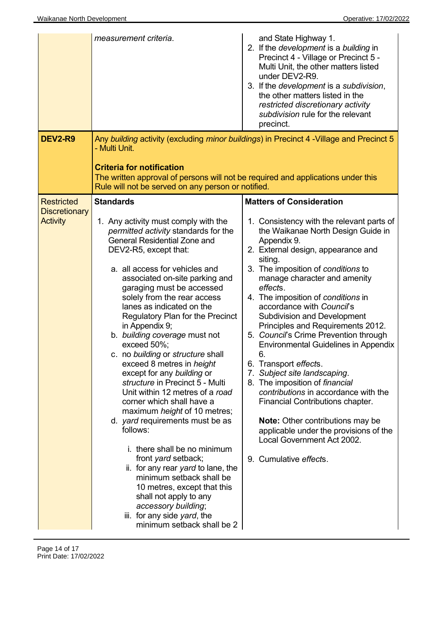| measurement criteria.                                                                                                                                                                                                                                                                                                                                                                                                                                                                                                                                                                                                                                                                                                                                                                                                                                                                                                                                | and State Highway 1.<br>2. If the development is a building in<br>Precinct 4 - Village or Precinct 5 -<br>Multi Unit, the other matters listed<br>under DEV2-R9.<br>3. If the development is a subdivision,<br>the other matters listed in the<br>restricted discretionary activity<br>subdivision rule for the relevant<br>precinct.                                                                                                                                                                                                                                                                                                                                                                                                                                                                                                |
|------------------------------------------------------------------------------------------------------------------------------------------------------------------------------------------------------------------------------------------------------------------------------------------------------------------------------------------------------------------------------------------------------------------------------------------------------------------------------------------------------------------------------------------------------------------------------------------------------------------------------------------------------------------------------------------------------------------------------------------------------------------------------------------------------------------------------------------------------------------------------------------------------------------------------------------------------|--------------------------------------------------------------------------------------------------------------------------------------------------------------------------------------------------------------------------------------------------------------------------------------------------------------------------------------------------------------------------------------------------------------------------------------------------------------------------------------------------------------------------------------------------------------------------------------------------------------------------------------------------------------------------------------------------------------------------------------------------------------------------------------------------------------------------------------|
| <b>DEV2-R9</b><br>- Multi Unit.<br><b>Criteria for notification</b>                                                                                                                                                                                                                                                                                                                                                                                                                                                                                                                                                                                                                                                                                                                                                                                                                                                                                  | Any building activity (excluding minor buildings) in Precinct 4 - Village and Precinct 5<br>The written approval of persons will not be required and applications under this                                                                                                                                                                                                                                                                                                                                                                                                                                                                                                                                                                                                                                                         |
| Rule will not be served on any person or notified.                                                                                                                                                                                                                                                                                                                                                                                                                                                                                                                                                                                                                                                                                                                                                                                                                                                                                                   |                                                                                                                                                                                                                                                                                                                                                                                                                                                                                                                                                                                                                                                                                                                                                                                                                                      |
| <b>Standards</b><br><b>Restricted</b><br><b>Discretionary</b><br><b>Activity</b><br>1. Any activity must comply with the<br>permitted activity standards for the<br><b>General Residential Zone and</b><br>DEV2-R5, except that:<br>a. all access for vehicles and<br>associated on-site parking and<br>garaging must be accessed<br>solely from the rear access<br>lanes as indicated on the<br>Regulatory Plan for the Precinct<br>in Appendix 9;<br>b. building coverage must not<br>exceed 50%;<br>c. no building or structure shall<br>exceed 8 metres in height<br>except for any building or<br>structure in Precinct 5 - Multi<br>Unit within 12 metres of a road<br>corner which shall have a<br>maximum height of 10 metres;<br>d. <i>yard</i> requirements must be as<br>follows:<br>i. there shall be no minimum<br>front yard setback;<br>ii. for any rear yard to lane, the<br>minimum setback shall be<br>10 metres, except that this | <b>Matters of Consideration</b><br>1. Consistency with the relevant parts of<br>the Waikanae North Design Guide in<br>Appendix 9.<br>2. External design, appearance and<br>siting.<br>3. The imposition of conditions to<br>manage character and amenity<br>effects.<br>4. The imposition of conditions in<br>accordance with Council's<br><b>Subdivision and Development</b><br>Principles and Requirements 2012.<br>5. Council's Crime Prevention through<br><b>Environmental Guidelines in Appendix</b><br>6.<br>6. Transport effects.<br>7. Subject site landscaping.<br>8. The imposition of financial<br>contributions in accordance with the<br>Financial Contributions chapter.<br><b>Note:</b> Other contributions may be<br>applicable under the provisions of the<br>Local Government Act 2002.<br>9. Cumulative effects. |

Page 14 of 17 Print Date: 17/02/2022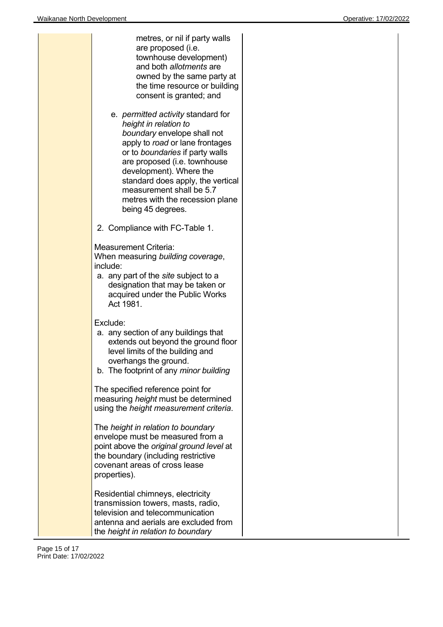|  | metres, or nil if party walls<br>are proposed (i.e.<br>townhouse development)<br>and both allotments are<br>owned by the same party at<br>the time resource or building<br>consent is granted; and                                                                                                                                                          |
|--|-------------------------------------------------------------------------------------------------------------------------------------------------------------------------------------------------------------------------------------------------------------------------------------------------------------------------------------------------------------|
|  | e. <i>permitted activity</i> standard for<br>height in relation to<br>boundary envelope shall not<br>apply to road or lane frontages<br>or to boundaries if party walls<br>are proposed (i.e. townhouse<br>development). Where the<br>standard does apply, the vertical<br>measurement shall be 5.7<br>metres with the recession plane<br>being 45 degrees. |
|  | 2. Compliance with FC-Table 1.                                                                                                                                                                                                                                                                                                                              |
|  | <b>Measurement Criteria:</b><br>When measuring building coverage,<br>include:<br>a. any part of the site subject to a<br>designation that may be taken or<br>acquired under the Public Works<br>Act 1981.                                                                                                                                                   |
|  | Exclude:<br>a. any section of any buildings that<br>extends out beyond the ground floor<br>level limits of the building and<br>overhangs the ground.<br>b. The footprint of any minor building                                                                                                                                                              |
|  | The specified reference point for<br>measuring height must be determined<br>using the height measurement criteria.                                                                                                                                                                                                                                          |
|  | The height in relation to boundary<br>envelope must be measured from a<br>point above the original ground level at<br>the boundary (including restrictive<br>covenant areas of cross lease<br>properties).                                                                                                                                                  |
|  | Residential chimneys, electricity<br>transmission towers, masts, radio,<br>television and telecommunication<br>antenna and aerials are excluded from<br>the height in relation to boundary                                                                                                                                                                  |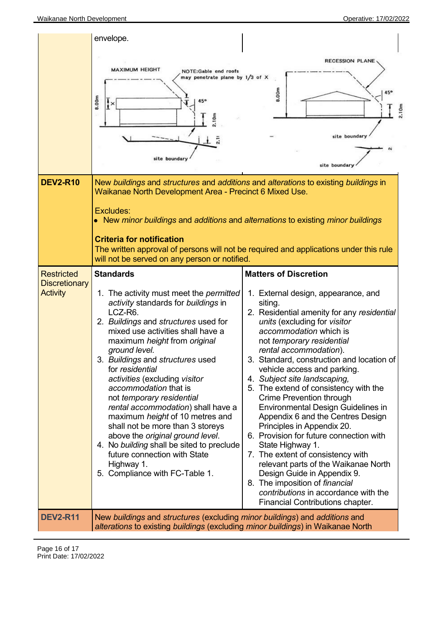|                                         | envelope.                                                                                                                                                                                                                                                                                                                                                                                                                                                                                                                                                                                                                                                  |                                                                                                                                                                                                                                                                                                                                                                                                                                                                                                                                                                                                                                                                                                                                                                                                         |
|-----------------------------------------|------------------------------------------------------------------------------------------------------------------------------------------------------------------------------------------------------------------------------------------------------------------------------------------------------------------------------------------------------------------------------------------------------------------------------------------------------------------------------------------------------------------------------------------------------------------------------------------------------------------------------------------------------------|---------------------------------------------------------------------------------------------------------------------------------------------------------------------------------------------------------------------------------------------------------------------------------------------------------------------------------------------------------------------------------------------------------------------------------------------------------------------------------------------------------------------------------------------------------------------------------------------------------------------------------------------------------------------------------------------------------------------------------------------------------------------------------------------------------|
|                                         |                                                                                                                                                                                                                                                                                                                                                                                                                                                                                                                                                                                                                                                            | <b>RECESSION PLANE</b>                                                                                                                                                                                                                                                                                                                                                                                                                                                                                                                                                                                                                                                                                                                                                                                  |
|                                         | <b>MAXIMUM HEIGHT</b><br><b>NOTE:Gable end roofs</b><br>may penetrate plane by $1/3$ of $\times$                                                                                                                                                                                                                                                                                                                                                                                                                                                                                                                                                           |                                                                                                                                                                                                                                                                                                                                                                                                                                                                                                                                                                                                                                                                                                                                                                                                         |
|                                         | 8.00m<br>$\mathbf{R}$<br>2.10m<br>site boundary                                                                                                                                                                                                                                                                                                                                                                                                                                                                                                                                                                                                            | 8.00m<br>2.10m<br>site boundary<br>site boundary                                                                                                                                                                                                                                                                                                                                                                                                                                                                                                                                                                                                                                                                                                                                                        |
| <b>DEV2-R10</b>                         | New buildings and structures and additions and alterations to existing buildings in<br>Waikanae North Development Area - Precinct 6 Mixed Use.                                                                                                                                                                                                                                                                                                                                                                                                                                                                                                             |                                                                                                                                                                                                                                                                                                                                                                                                                                                                                                                                                                                                                                                                                                                                                                                                         |
|                                         | Excludes:<br>• New minor buildings and additions and alternations to existing minor buildings                                                                                                                                                                                                                                                                                                                                                                                                                                                                                                                                                              |                                                                                                                                                                                                                                                                                                                                                                                                                                                                                                                                                                                                                                                                                                                                                                                                         |
|                                         | <b>Criteria for notification</b><br>will not be served on any person or notified.                                                                                                                                                                                                                                                                                                                                                                                                                                                                                                                                                                          | The written approval of persons will not be required and applications under this rule                                                                                                                                                                                                                                                                                                                                                                                                                                                                                                                                                                                                                                                                                                                   |
| <b>Restricted</b>                       | <b>Standards</b>                                                                                                                                                                                                                                                                                                                                                                                                                                                                                                                                                                                                                                           | <b>Matters of Discretion</b>                                                                                                                                                                                                                                                                                                                                                                                                                                                                                                                                                                                                                                                                                                                                                                            |
| <b>Discretionary</b><br><b>Activity</b> | 1. The activity must meet the <i>permitted</i><br>activity standards for buildings in<br>LCZ-R6.<br>2. Buildings and structures used for<br>mixed use activities shall have a<br>maximum height from original<br>ground level.<br>3. Buildings and structures used<br>for residential<br>activities (excluding visitor<br>accommodation that is<br>not temporary residential<br>rental accommodation) shall have a<br>maximum height of 10 metres and<br>shall not be more than 3 storeys<br>above the original ground level.<br>4. No building shall be sited to preclude<br>future connection with State<br>Highway 1.<br>5. Compliance with FC-Table 1. | 1. External design, appearance, and<br>siting.<br>2. Residential amenity for any residential<br>units (excluding for visitor<br>accommodation which is<br>not temporary residential<br>rental accommodation).<br>3. Standard, construction and location of<br>vehicle access and parking.<br>4. Subject site landscaping,<br>5. The extend of consistency with the<br>Crime Prevention through<br><b>Environmental Design Guidelines in</b><br>Appendix 6 and the Centres Design<br>Principles in Appendix 20.<br>6. Provision for future connection with<br>State Highway 1.<br>7. The extent of consistency with<br>relevant parts of the Waikanae North<br>Design Guide in Appendix 9.<br>8. The imposition of financial<br>contributions in accordance with the<br>Financial Contributions chapter. |
| <b>DEV2-R11</b>                         | New buildings and structures (excluding minor buildings) and additions and<br>alterations to existing buildings (excluding minor buildings) in Waikanae North                                                                                                                                                                                                                                                                                                                                                                                                                                                                                              |                                                                                                                                                                                                                                                                                                                                                                                                                                                                                                                                                                                                                                                                                                                                                                                                         |